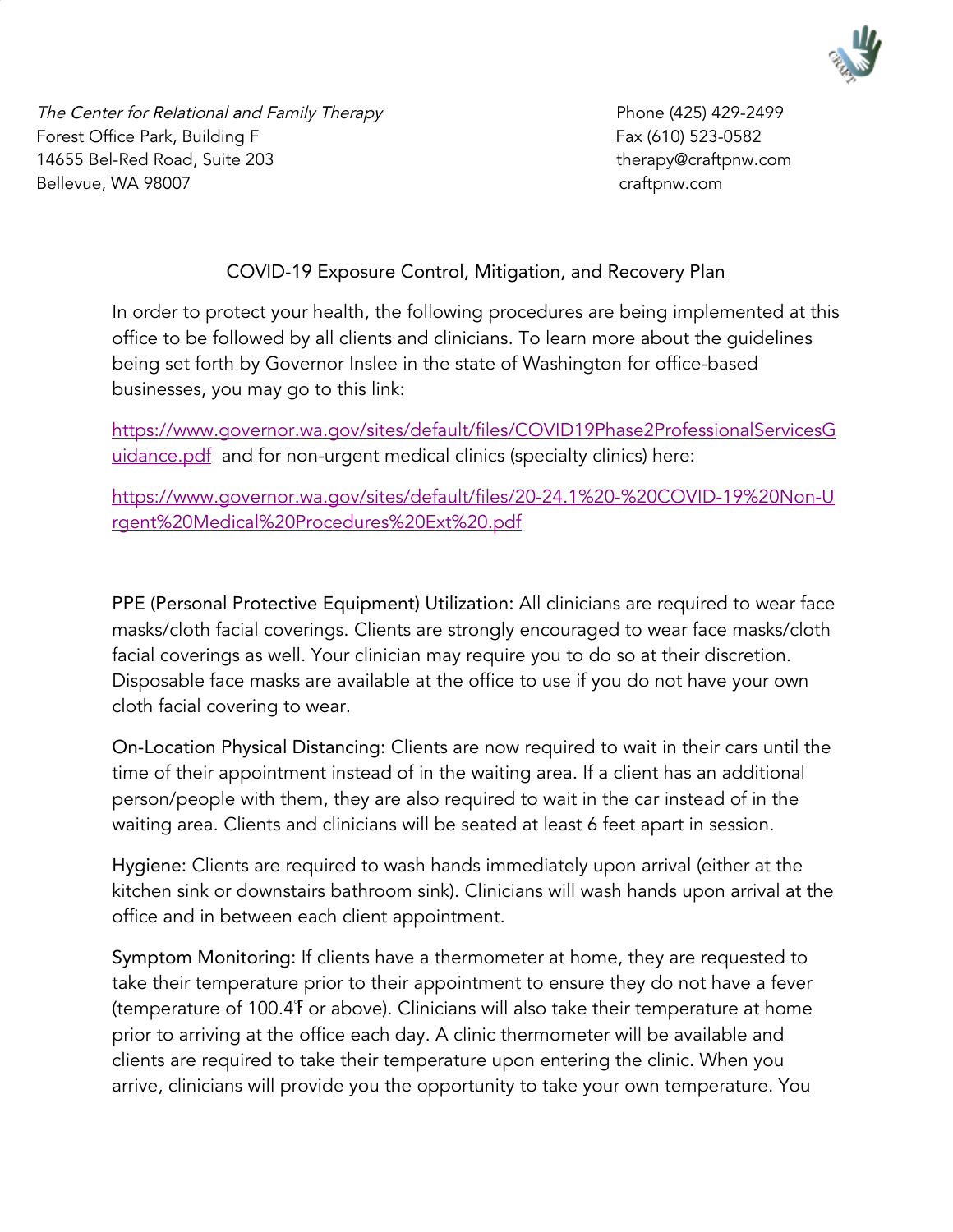

The Center for Relational and Family Therapy entitled and the Center 1425) 429-2499 Forest Office Park, Building F **Fax (610)** 523-0582 14655 Bel-Red Road, Suite 203 therapy@craftpnw.com Bellevue, WA 98007 craftpnw.com

## COVID-19 Exposure Control, Mitigation, and Recovery Plan

In order to protect your health, the following procedures are being implemented at this office to be followed by all clients and clinicians. To learn more about the guidelines being set forth by Governor Inslee in the state of Washington for office-based businesses, you may go to this link[:](https://www.governor.wa.gov/sites/default/files/COVID19Phase2ProfessionalServicesGuidance.pdf)

[https://www.governor.wa.gov/sites/default/files/COVID19Phase2ProfessionalServicesG](https://www.governor.wa.gov/sites/default/files/COVID19Phase2ProfessionalServicesGuidance.pdf) [uidance.pdf](https://www.governor.wa.gov/sites/default/files/COVID19Phase2ProfessionalServicesGuidance.pdf) and for non-urgent medical clinics (specialty clinics) here:

[https://www.governor.wa.gov/sites/default/files/20-24.1%20-%20COVID-19%20Non-U](https://www.governor.wa.gov/sites/default/files/20-24.1%20-%20COVID-19%20Non-Urgent%20Medical%20Procedures%20Ext%20.pdf) [rgent%20Medical%20Procedures%20Ext%20.pdf](https://www.governor.wa.gov/sites/default/files/20-24.1%20-%20COVID-19%20Non-Urgent%20Medical%20Procedures%20Ext%20.pdf)

PPE (Personal Protective Equipment) Utilization: All clinicians are required to wear face masks/cloth facial coverings. Clients are strongly encouraged to wear face masks/cloth facial coverings as well. Your clinician may require you to do so at their discretion. Disposable face masks are available at the office to use if you do not have your own cloth facial covering to wear.

On-Location Physical Distancing: Clients are now required to wait in their cars until the time of their appointment instead of in the waiting area. If a client has an additional person/people with them, they are also required to wait in the car instead of in the waiting area. Clients and clinicians will be seated at least 6 feet apart in session.

Hygiene: Clients are required to wash hands immediately upon arrival (either at the kitchen sink or downstairs bathroom sink). Clinicians will wash hands upon arrival at the office and in between each client appointment.

Symptom Monitoring: If clients have a thermometer at home, they are requested to take their temperature prior to their appointment to ensure they do not have a fever (temperature of 100.4℉ or above). Clinicians will also take their temperature at home prior to arriving at the office each day. A clinic thermometer will be available and clients are required to take their temperature upon entering the clinic. When you arrive, clinicians will provide you the opportunity to take your own temperature. You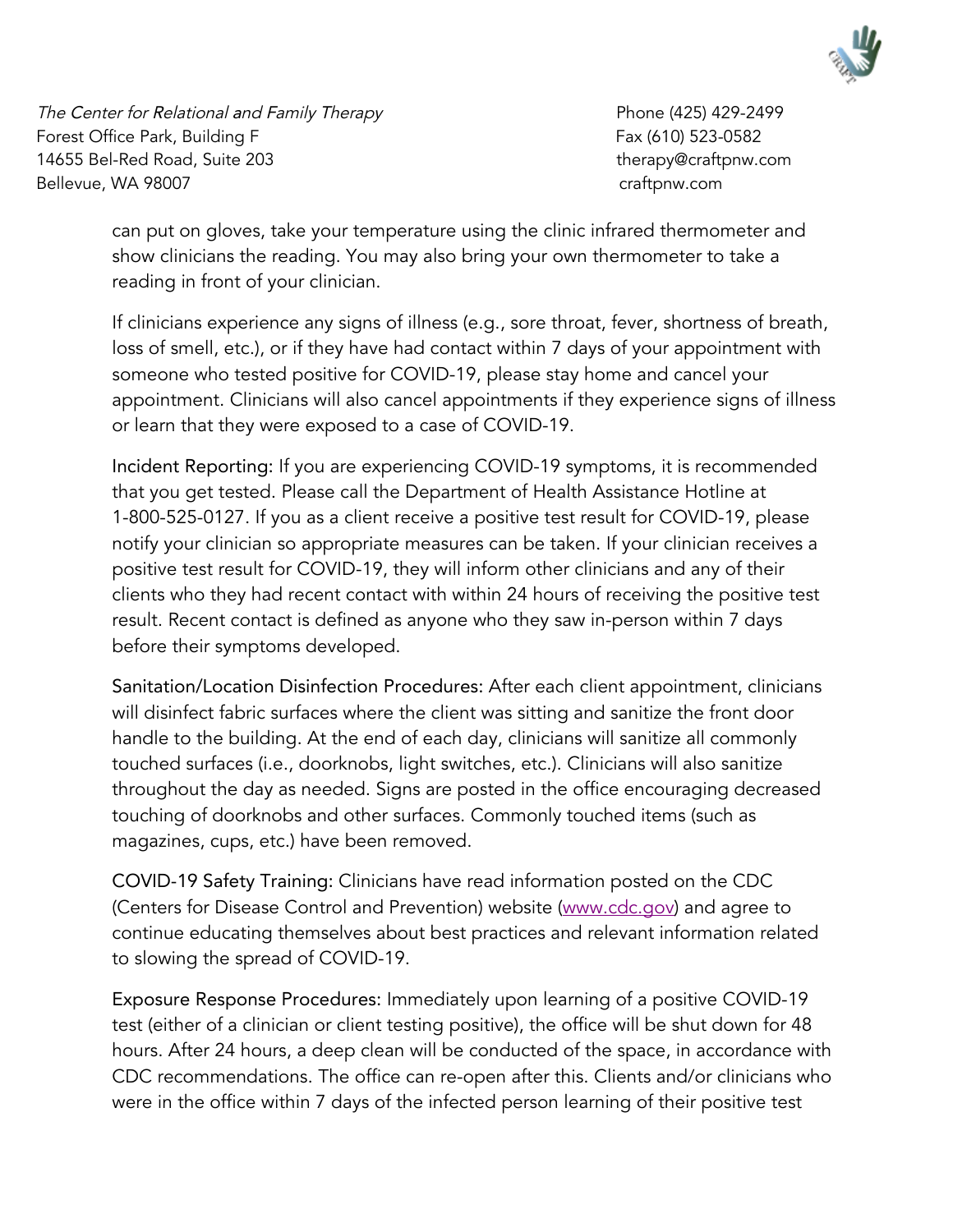

The Center for Relational and Family Therapy entitled and the Center 1425) 429-2499 Forest Office Park, Building F **Fax (610)** 523-0582 14655 Bel-Red Road, Suite 203 therapy@craftpnw.com Bellevue, WA 98007 craftpnw.com

can put on gloves, take your temperature using the clinic infrared thermometer and show clinicians the reading. You may also bring your own thermometer to take a reading in front of your clinician.

If clinicians experience any signs of illness (e.g., sore throat, fever, shortness of breath, loss of smell, etc.), or if they have had contact within 7 days of your appointment with someone who tested positive for COVID-19, please stay home and cancel your appointment. Clinicians will also cancel appointments if they experience signs of illness or learn that they were exposed to a case of COVID-19.

Incident Reporting: If you are experiencing COVID-19 symptoms, it is recommended that you get tested. Please call the Department of Health Assistance Hotline at 1-800-525-0127. If you as a client receive a positive test result for COVID-19, please notify your clinician so appropriate measures can be taken. If your clinician receives a positive test result for COVID-19, they will inform other clinicians and any of their clients who they had recent contact with within 24 hours of receiving the positive test result. Recent contact is defined as anyone who they saw in-person within 7 days before their symptoms developed.

Sanitation/Location Disinfection Procedures: After each client appointment, clinicians will disinfect fabric surfaces where the client was sitting and sanitize the front door handle to the building. At the end of each day, clinicians will sanitize all commonly touched surfaces (i.e., doorknobs, light switches, etc.). Clinicians will also sanitize throughout the day as needed. Signs are posted in the office encouraging decreased touching of doorknobs and other surfaces. Commonly touched items (such as magazines, cups, etc.) have been removed.

COVID-19 Safety Training: Clinicians have read information posted on the CDC (Centers for Disease Control and Prevention) website ([www.cdc.gov\)](http://www.cdc.gov/) and agree to continue educating themselves about best practices and relevant information related to slowing the spread of COVID-19.

Exposure Response Procedures: Immediately upon learning of a positive COVID-19 test (either of a clinician or client testing positive), the office will be shut down for 48 hours. After 24 hours, a deep clean will be conducted of the space, in accordance with CDC recommendations. The office can re-open after this. Clients and/or clinicians who were in the office within 7 days of the infected person learning of their positive test